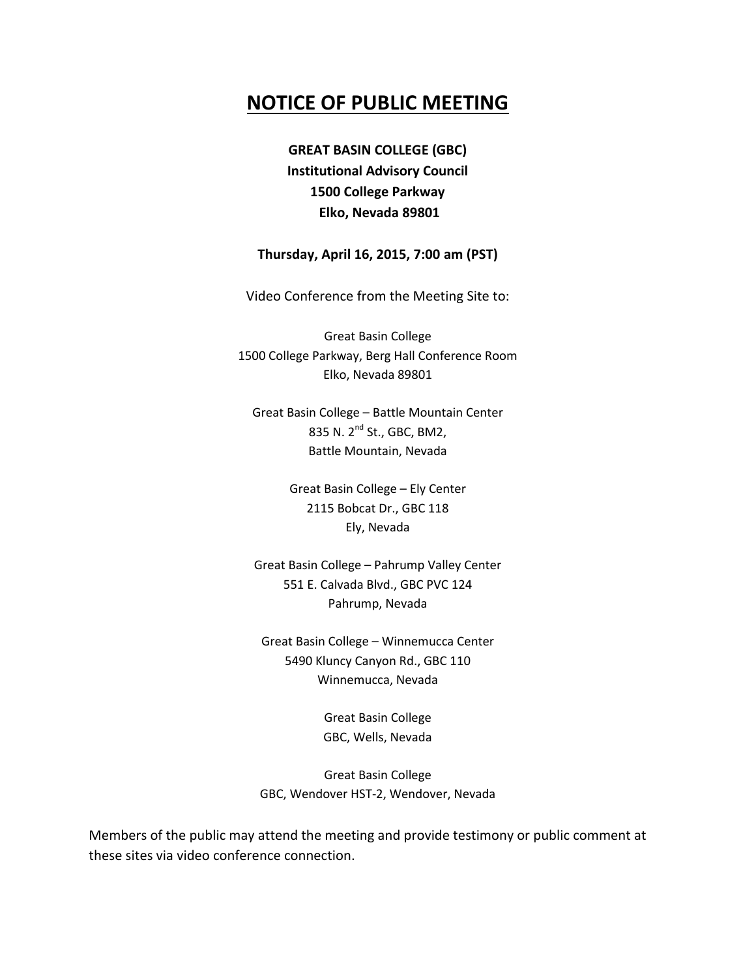# **NOTICE OF PUBLIC MEETING**

**GREAT BASIN COLLEGE (GBC) Institutional Advisory Council 1500 College Parkway Elko, Nevada 89801**

## **Thursday, April 16, 2015, 7:00 am (PST)**

Video Conference from the Meeting Site to:

Great Basin College 1500 College Parkway, Berg Hall Conference Room Elko, Nevada 89801

Great Basin College – Battle Mountain Center 835 N. 2<sup>nd</sup> St., GBC, BM2, Battle Mountain, Nevada

> Great Basin College – Ely Center 2115 Bobcat Dr., GBC 118 Ely, Nevada

Great Basin College – Pahrump Valley Center 551 E. Calvada Blvd., GBC PVC 124 Pahrump, Nevada

Great Basin College – Winnemucca Center 5490 Kluncy Canyon Rd., GBC 110 Winnemucca, Nevada

> Great Basin College GBC, Wells, Nevada

Great Basin College GBC, Wendover HST-2, Wendover, Nevada

Members of the public may attend the meeting and provide testimony or public comment at these sites via video conference connection.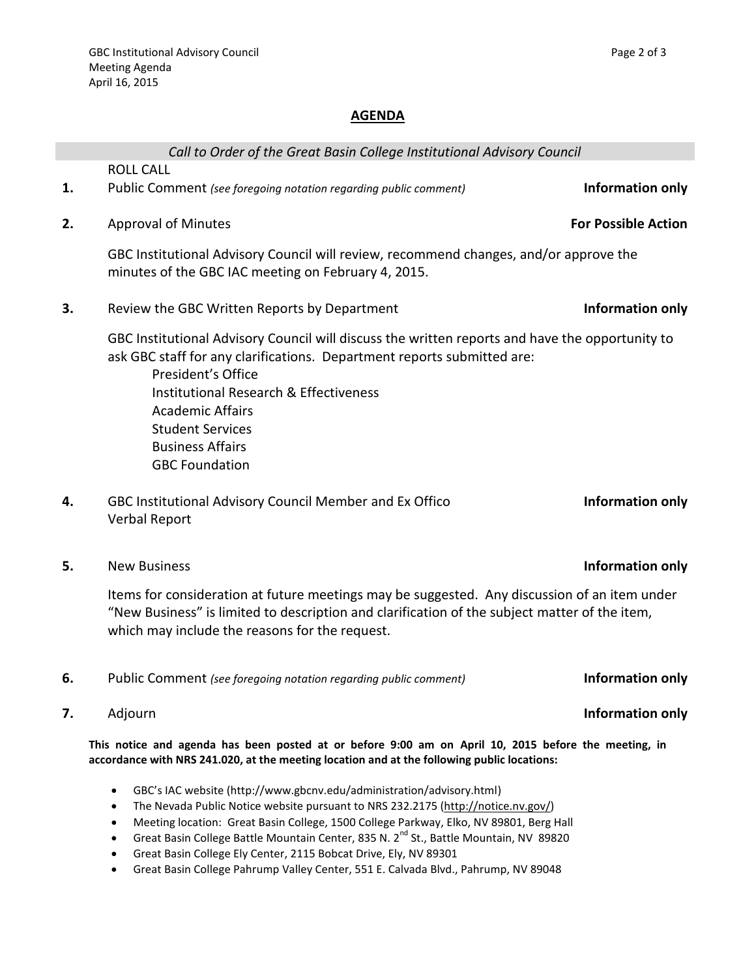# **AGENDA**

|    | Call to Order of the Great Basin College Institutional Advisory Council                                                                                                                                                                                                                                                                                  |                            |
|----|----------------------------------------------------------------------------------------------------------------------------------------------------------------------------------------------------------------------------------------------------------------------------------------------------------------------------------------------------------|----------------------------|
|    | <b>ROLL CALL</b>                                                                                                                                                                                                                                                                                                                                         |                            |
| 1. | Public Comment (see foregoing notation regarding public comment)                                                                                                                                                                                                                                                                                         | Information only           |
| 2. | <b>Approval of Minutes</b>                                                                                                                                                                                                                                                                                                                               | <b>For Possible Action</b> |
|    | GBC Institutional Advisory Council will review, recommend changes, and/or approve the<br>minutes of the GBC IAC meeting on February 4, 2015.                                                                                                                                                                                                             |                            |
| 3. | Review the GBC Written Reports by Department                                                                                                                                                                                                                                                                                                             | Information only           |
|    | GBC Institutional Advisory Council will discuss the written reports and have the opportunity to<br>ask GBC staff for any clarifications. Department reports submitted are:<br>President's Office<br><b>Institutional Research &amp; Effectiveness</b><br>Academic Affairs<br><b>Student Services</b><br><b>Business Affairs</b><br><b>GBC Foundation</b> |                            |
| 4. | GBC Institutional Advisory Council Member and Ex Offico<br><b>Verbal Report</b>                                                                                                                                                                                                                                                                          | Information only           |
|    |                                                                                                                                                                                                                                                                                                                                                          |                            |

**5.** New Business **Information only**

Items for consideration at future meetings may be suggested. Any discussion of an item under "New Business" is limited to description and clarification of the subject matter of the item, which may include the reasons for the request.

- **6.** Public Comment *(see foregoing notation regarding public comment)* **Information only**
- 

**This notice and agenda has been posted at or before 9:00 am on April 10, 2015 before the meeting, in accordance with NRS 241.020, at the meeting location and at the following public locations:**

- GBC's IAC website (http://www.gbcnv.edu/administration/advisory.html)
- The Nevada Public Notice website pursuant to NRS 232.2175 [\(http://notice.nv.gov/\)](http://notice.nv.gov/)
- Meeting location: Great Basin College, 1500 College Parkway, Elko, NV 89801, Berg Hall
- Great Basin College Battle Mountain Center, 835 N. 2<sup>nd</sup> St., Battle Mountain, NV 89820
- Great Basin College Ely Center, 2115 Bobcat Drive, Ely, NV 89301
- Great Basin College Pahrump Valley Center, 551 E. Calvada Blvd., Pahrump, NV 89048

## **7.** Adjourn **Information only**